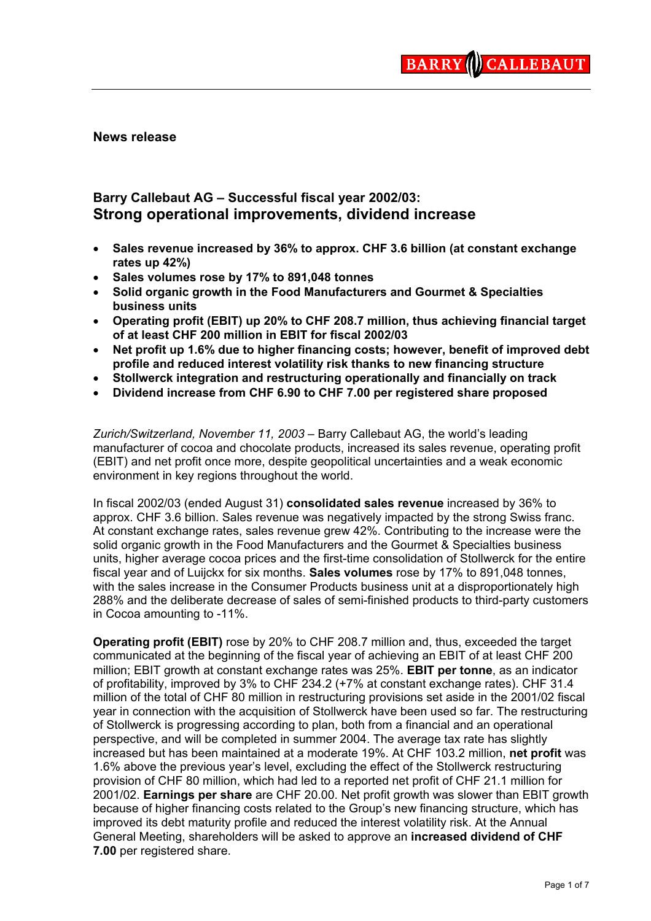**News release** 

# **Barry Callebaut AG – Successful fiscal year 2002/03: Strong operational improvements, dividend increase**

- **Sales revenue increased by 36% to approx. CHF 3.6 billion (at constant exchange rates up 42%)**
- **Sales volumes rose by 17% to 891,048 tonnes**
- **Solid organic growth in the Food Manufacturers and Gourmet & Specialties business units**
- **Operating profit (EBIT) up 20% to CHF 208.7 million, thus achieving financial target of at least CHF 200 million in EBIT for fiscal 2002/03**
- **Net profit up 1.6% due to higher financing costs; however, benefit of improved debt profile and reduced interest volatility risk thanks to new financing structure**
- **Stollwerck integration and restructuring operationally and financially on track**
- **Dividend increase from CHF 6.90 to CHF 7.00 per registered share proposed**

*Zurich/Switzerland, November 11, 2003* – Barry Callebaut AG, the world's leading manufacturer of cocoa and chocolate products, increased its sales revenue, operating profit (EBIT) and net profit once more, despite geopolitical uncertainties and a weak economic environment in key regions throughout the world.

In fiscal 2002/03 (ended August 31) **consolidated sales revenue** increased by 36% to approx. CHF 3.6 billion. Sales revenue was negatively impacted by the strong Swiss franc. At constant exchange rates, sales revenue grew 42%. Contributing to the increase were the solid organic growth in the Food Manufacturers and the Gourmet & Specialties business units, higher average cocoa prices and the first-time consolidation of Stollwerck for the entire fiscal year and of Luijckx for six months. **Sales volumes** rose by 17% to 891,048 tonnes, with the sales increase in the Consumer Products business unit at a disproportionately high 288% and the deliberate decrease of sales of semi-finished products to third-party customers in Cocoa amounting to -11%.

**Operating profit (EBIT)** rose by 20% to CHF 208.7 million and, thus, exceeded the target communicated at the beginning of the fiscal year of achieving an EBIT of at least CHF 200 million; EBIT growth at constant exchange rates was 25%. **EBIT per tonne**, as an indicator of profitability, improved by 3% to CHF 234.2 (+7% at constant exchange rates). CHF 31.4 million of the total of CHF 80 million in restructuring provisions set aside in the 2001/02 fiscal year in connection with the acquisition of Stollwerck have been used so far. The restructuring of Stollwerck is progressing according to plan, both from a financial and an operational perspective, and will be completed in summer 2004. The average tax rate has slightly increased but has been maintained at a moderate 19%. At CHF 103.2 million, **net profit** was 1.6% above the previous year's level, excluding the effect of the Stollwerck restructuring provision of CHF 80 million, which had led to a reported net profit of CHF 21.1 million for 2001/02. **Earnings per share** are CHF 20.00. Net profit growth was slower than EBIT growth because of higher financing costs related to the Group's new financing structure, which has improved its debt maturity profile and reduced the interest volatility risk. At the Annual General Meeting, shareholders will be asked to approve an **increased dividend of CHF 7.00** per registered share.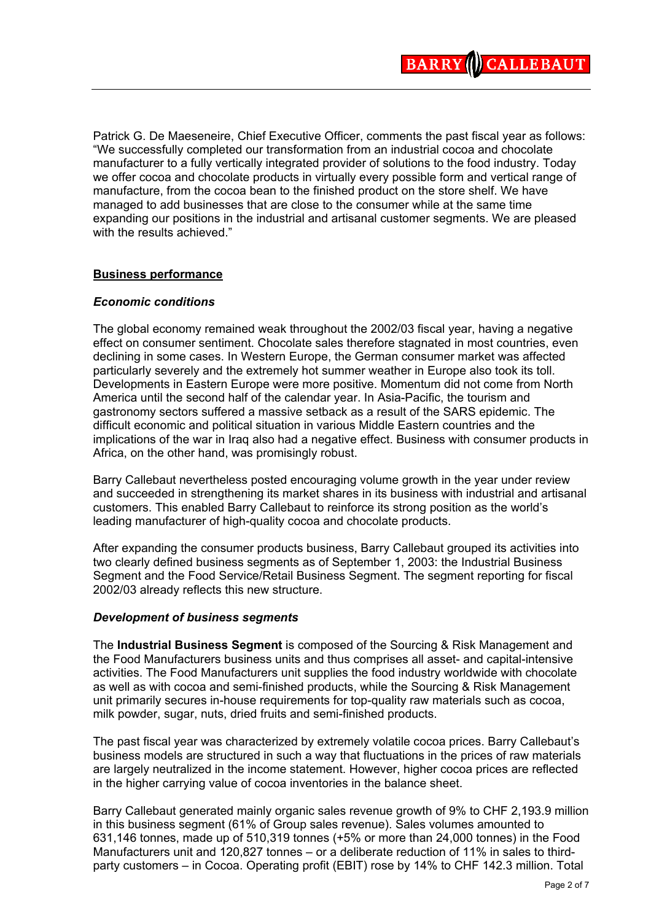Patrick G. De Maeseneire, Chief Executive Officer, comments the past fiscal year as follows: "We successfully completed our transformation from an industrial cocoa and chocolate manufacturer to a fully vertically integrated provider of solutions to the food industry. Today we offer cocoa and chocolate products in virtually every possible form and vertical range of manufacture, from the cocoa bean to the finished product on the store shelf. We have managed to add businesses that are close to the consumer while at the same time expanding our positions in the industrial and artisanal customer segments. We are pleased with the results achieved."

### **Business performance**

### *Economic conditions*

The global economy remained weak throughout the 2002/03 fiscal year, having a negative effect on consumer sentiment. Chocolate sales therefore stagnated in most countries, even declining in some cases. In Western Europe, the German consumer market was affected particularly severely and the extremely hot summer weather in Europe also took its toll. Developments in Eastern Europe were more positive. Momentum did not come from North America until the second half of the calendar year. In Asia-Pacific, the tourism and gastronomy sectors suffered a massive setback as a result of the SARS epidemic. The difficult economic and political situation in various Middle Eastern countries and the implications of the war in Iraq also had a negative effect. Business with consumer products in Africa, on the other hand, was promisingly robust.

Barry Callebaut nevertheless posted encouraging volume growth in the year under review and succeeded in strengthening its market shares in its business with industrial and artisanal customers. This enabled Barry Callebaut to reinforce its strong position as the world's leading manufacturer of high-quality cocoa and chocolate products.

After expanding the consumer products business, Barry Callebaut grouped its activities into two clearly defined business segments as of September 1, 2003: the Industrial Business Segment and the Food Service/Retail Business Segment. The segment reporting for fiscal 2002/03 already reflects this new structure.

#### *Development of business segments*

The **Industrial Business Segment** is composed of the Sourcing & Risk Management and the Food Manufacturers business units and thus comprises all asset- and capital-intensive activities. The Food Manufacturers unit supplies the food industry worldwide with chocolate as well as with cocoa and semi-finished products, while the Sourcing & Risk Management unit primarily secures in-house requirements for top-quality raw materials such as cocoa, milk powder, sugar, nuts, dried fruits and semi-finished products.

The past fiscal year was characterized by extremely volatile cocoa prices. Barry Callebaut's business models are structured in such a way that fluctuations in the prices of raw materials are largely neutralized in the income statement. However, higher cocoa prices are reflected in the higher carrying value of cocoa inventories in the balance sheet.

Barry Callebaut generated mainly organic sales revenue growth of 9% to CHF 2,193.9 million in this business segment (61% of Group sales revenue). Sales volumes amounted to 631,146 tonnes, made up of 510,319 tonnes (+5% or more than 24,000 tonnes) in the Food Manufacturers unit and 120,827 tonnes – or a deliberate reduction of 11% in sales to thirdparty customers – in Cocoa. Operating profit (EBIT) rose by 14% to CHF 142.3 million. Total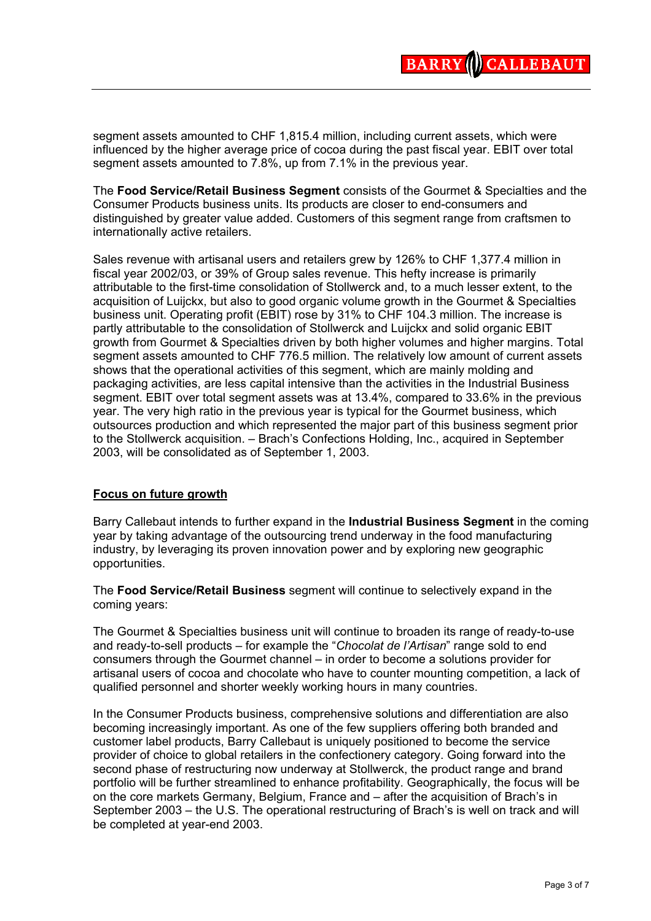segment assets amounted to CHF 1,815.4 million, including current assets, which were influenced by the higher average price of cocoa during the past fiscal year. EBIT over total segment assets amounted to 7.8%, up from 7.1% in the previous year.

The **Food Service/Retail Business Segment** consists of the Gourmet & Specialties and the Consumer Products business units. Its products are closer to end-consumers and distinguished by greater value added. Customers of this segment range from craftsmen to internationally active retailers.

Sales revenue with artisanal users and retailers grew by 126% to CHF 1,377.4 million in fiscal year 2002/03, or 39% of Group sales revenue. This hefty increase is primarily attributable to the first-time consolidation of Stollwerck and, to a much lesser extent, to the acquisition of Luijckx, but also to good organic volume growth in the Gourmet & Specialties business unit. Operating profit (EBIT) rose by 31% to CHF 104.3 million. The increase is partly attributable to the consolidation of Stollwerck and Luijckx and solid organic EBIT growth from Gourmet & Specialties driven by both higher volumes and higher margins. Total segment assets amounted to CHF 776.5 million. The relatively low amount of current assets shows that the operational activities of this segment, which are mainly molding and packaging activities, are less capital intensive than the activities in the Industrial Business segment. EBIT over total segment assets was at 13.4%, compared to 33.6% in the previous year. The very high ratio in the previous year is typical for the Gourmet business, which outsources production and which represented the major part of this business segment prior to the Stollwerck acquisition. – Brach's Confections Holding, Inc., acquired in September 2003, will be consolidated as of September 1, 2003.

## **Focus on future growth**

Barry Callebaut intends to further expand in the **Industrial Business Segment** in the coming year by taking advantage of the outsourcing trend underway in the food manufacturing industry, by leveraging its proven innovation power and by exploring new geographic opportunities.

The **Food Service/Retail Business** segment will continue to selectively expand in the coming years:

The Gourmet & Specialties business unit will continue to broaden its range of ready-to-use and ready-to-sell products – for example the "*Chocolat de l'Artisan*" range sold to end consumers through the Gourmet channel – in order to become a solutions provider for artisanal users of cocoa and chocolate who have to counter mounting competition, a lack of qualified personnel and shorter weekly working hours in many countries.

In the Consumer Products business, comprehensive solutions and differentiation are also becoming increasingly important. As one of the few suppliers offering both branded and customer label products, Barry Callebaut is uniquely positioned to become the service provider of choice to global retailers in the confectionery category. Going forward into the second phase of restructuring now underway at Stollwerck, the product range and brand portfolio will be further streamlined to enhance profitability. Geographically, the focus will be on the core markets Germany, Belgium, France and – after the acquisition of Brach's in September 2003 – the U.S. The operational restructuring of Brach's is well on track and will be completed at year-end 2003.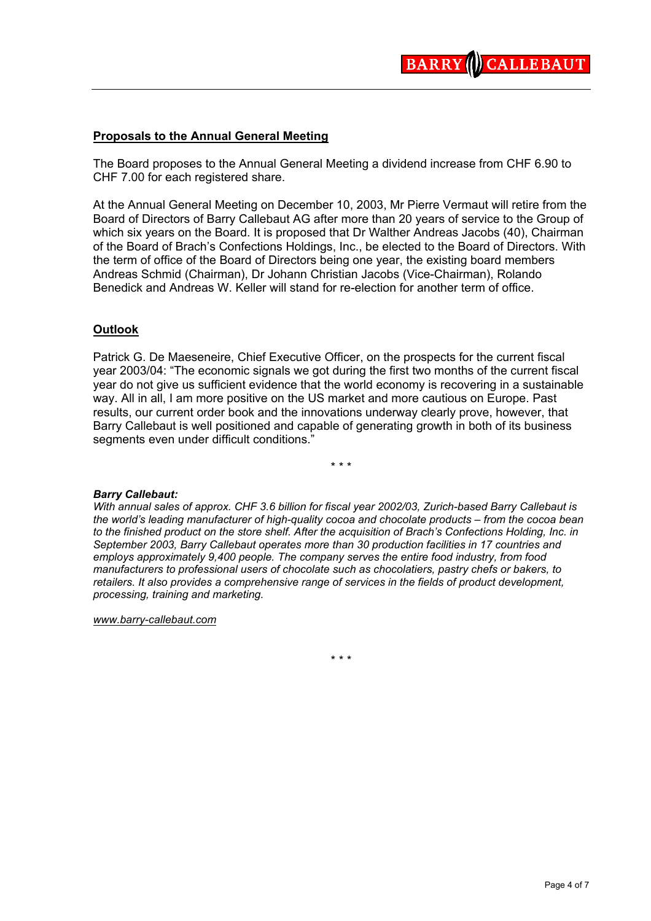# **Proposals to the Annual General Meeting**

The Board proposes to the Annual General Meeting a dividend increase from CHF 6.90 to CHF 7.00 for each registered share.

At the Annual General Meeting on December 10, 2003, Mr Pierre Vermaut will retire from the Board of Directors of Barry Callebaut AG after more than 20 years of service to the Group of which six years on the Board. It is proposed that Dr Walther Andreas Jacobs (40), Chairman of the Board of Brach's Confections Holdings, Inc., be elected to the Board of Directors. With the term of office of the Board of Directors being one year, the existing board members Andreas Schmid (Chairman), Dr Johann Christian Jacobs (Vice-Chairman), Rolando Benedick and Andreas W. Keller will stand for re-election for another term of office.

## **Outlook**

Patrick G. De Maeseneire, Chief Executive Officer, on the prospects for the current fiscal year 2003/04: "The economic signals we got during the first two months of the current fiscal year do not give us sufficient evidence that the world economy is recovering in a sustainable way. All in all, I am more positive on the US market and more cautious on Europe. Past results, our current order book and the innovations underway clearly prove, however, that Barry Callebaut is well positioned and capable of generating growth in both of its business segments even under difficult conditions."

\* \* \*

#### *Barry Callebaut:*

*With annual sales of approx. CHF 3.6 billion for fiscal year 2002/03, Zurich-based Barry Callebaut is the world's leading manufacturer of high-quality cocoa and chocolate products – from the cocoa bean to the finished product on the store shelf. After the acquisition of Brach's Confections Holding, Inc. in September 2003, Barry Callebaut operates more than 30 production facilities in 17 countries and employs approximately 9,400 people. The company serves the entire food industry, from food manufacturers to professional users of chocolate such as chocolatiers, pastry chefs or bakers, to retailers. It also provides a comprehensive range of services in the fields of product development, processing, training and marketing.* 

*[www.barry-callebaut.com](http://www.barry-callebaut.com/)*

\* \* \*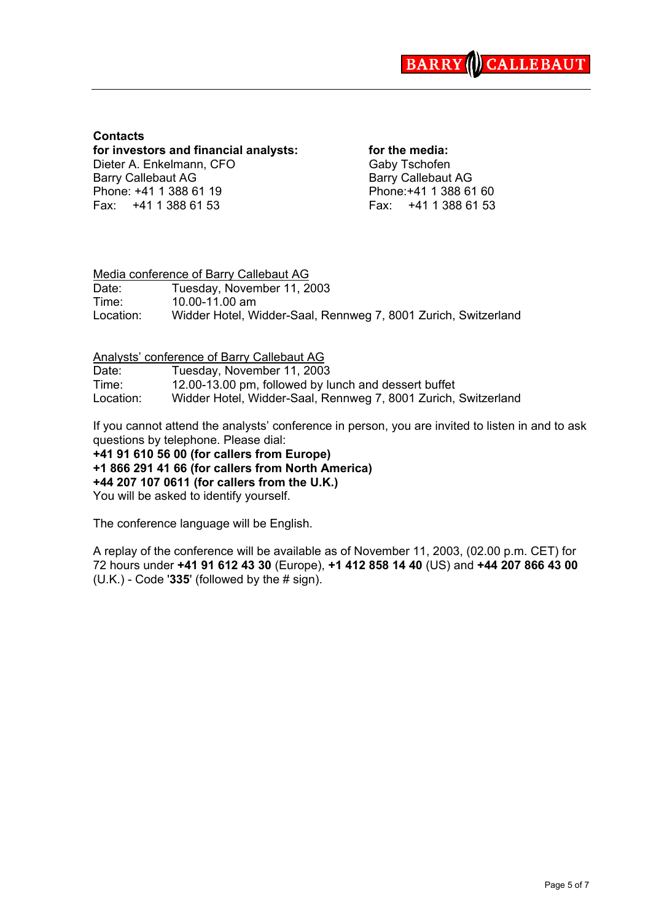

### **Contacts**

**for investors and financial analysts: for the media:** Dieter A. Enkelmann, CFO Gaby Tschofen Barry Callebaut AG Barry Callebaut AG Phone: +41 1 388 61 19 Phone: +41 1 388 61 60 Fax: +41 1 388 61 53 Fax: +41 1 388 61 53

### Media conference of Barry Callebaut AG Date: Tuesday, November 11, 2003 Time: 10.00-11.00 am Location: Widder Hotel, Widder-Saal, Rennweg 7, 8001 Zurich, Switzerland

Analysts' conference of Barry Callebaut AG

| Date:     | Tuesday, November 11, 2003                                     |
|-----------|----------------------------------------------------------------|
| Time:     | 12.00-13.00 pm, followed by lunch and dessert buffet           |
| Location: | Widder Hotel, Widder-Saal, Rennweg 7, 8001 Zurich, Switzerland |

If you cannot attend the analysts' conference in person, you are invited to listen in and to ask questions by telephone. Please dial:

**+41 91 610 56 00 (for callers from Europe)**

**+1 866 291 41 66 (for callers from North America)**

**+44 207 107 0611 (for callers from the U.K.)**

You will be asked to identify yourself.

The conference language will be English.

A replay of the conference will be available as of November 11, 2003, (02.00 p.m. CET) for 72 hours under **+41 91 612 43 30** (Europe), **+1 412 858 14 40** (US) and **+44 207 866 43 00** (U.K.) - Code '**335**' (followed by the # sign).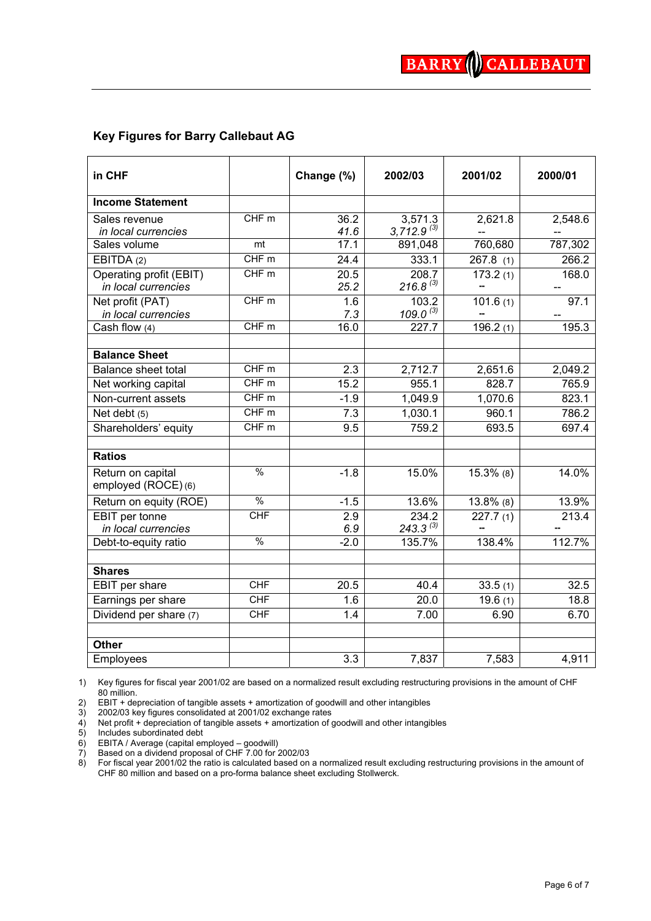# **Key Figures for Barry Callebaut AG**

| in CHF                     |                  | Change (%)       | 2002/03         | 2001/02      | 2000/01 |
|----------------------------|------------------|------------------|-----------------|--------------|---------|
| <b>Income Statement</b>    |                  |                  |                 |              |         |
| Sales revenue              | CHF m            | 36.2             | 3,571.3         | 2,621.8      | 2,548.6 |
| in local currencies        |                  | 41.6             | $3,712.9^{(3)}$ |              |         |
| Sales volume               | mt               | 17.1             | 891,048         | 760,680      | 787,302 |
| EBITDA (2)                 | CHFm             | 24.4             | 333.1           | 267.8(1)     | 266.2   |
| Operating profit (EBIT)    | CHF <sub>m</sub> | 20.5             | 208.7           | 173.2(1)     | 168.0   |
| in local currencies        |                  | 25.2             | $216.8^{(3)}$   |              | --      |
| Net profit (PAT)           | CHFm             | 1.6              | 103.2           | 101.6(1)     | 97.1    |
| in local currencies        |                  | 7.3              | $109.0^{(3)}$   |              |         |
| Cash flow $\overline{(4)}$ | CHF m            | 16.0             | 227.7           | 196.2(1)     | 195.3   |
|                            |                  |                  |                 |              |         |
| <b>Balance Sheet</b>       |                  |                  |                 |              |         |
| <b>Balance sheet total</b> | CHFm             | 2.3              | 2,712.7         | 2,651.6      | 2,049.2 |
| Net working capital        | CHF m            | 15.2             | 955.1           | 828.7        | 765.9   |
| Non-current assets         | CHF m            | $-1.9$           | 1,049.9         | 1,070.6      | 823.1   |
| Net debt (5)               | CHFm             | 7.3              | 1,030.1         | 960.1        | 786.2   |
| Shareholders' equity       | CHFm             | 9.5              | 759.2           | 693.5        | 697.4   |
|                            |                  |                  |                 |              |         |
| <b>Ratios</b>              |                  |                  |                 |              |         |
| Return on capital          | $\frac{0}{0}$    | $-1.8$           | 15.0%           | $15.3\%$ (8) | 14.0%   |
| employed (ROCE) (6)        |                  |                  |                 |              |         |
| Return on equity (ROE)     | $\frac{0}{0}$    | $-1.5$           | 13.6%           | $13.8\%$ (8) | 13.9%   |
| EBIT per tonne             | CHF              | 2.9              | 234.2           | 227.7(1)     | 213.4   |
| in local currencies        |                  | 6.9              | $243.3^{(3)}$   |              |         |
| Debt-to-equity ratio       | $\frac{0}{0}$    | $-2.0$           | 135.7%          | 138.4%       | 112.7%  |
|                            |                  |                  |                 |              |         |
| <b>Shares</b>              |                  |                  |                 |              |         |
| EBIT per share             | <b>CHF</b>       | 20.5             | 40.4            | 33.5(1)      | 32.5    |
| Earnings per share         | <b>CHF</b>       | 1.6              | 20.0            | 19.6(1)      | 18.8    |
| Dividend per share (7)     | <b>CHF</b>       | 1.4              | 7.00            | 6.90         | 6.70    |
|                            |                  |                  |                 |              |         |
| <b>Other</b>               |                  |                  |                 |              |         |
| Employees                  |                  | $\overline{3.3}$ | 7,837           | 7,583        | 4,911   |

1) Key figures for fiscal year 2001/02 are based on a normalized result excluding restructuring provisions in the amount of CHF 80 million.

2) EBIT + depreciation of tangible assets + amortization of goodwill and other intangibles

3) 2002/03 key figures consolidated at 2001/02 exchange rates

4) Net profit + depreciation of tangible assets + amortization of goodwill and other intangibles

5) Includes subordinated debt

6) EBITA / Average (capital employed – goodwill)

7) Based on a dividend proposal of CHF 7.00 for 2002/03

8) For fiscal year 2001/02 the ratio is calculated based on a normalized result excluding restructuring provisions in the amount of CHF 80 million and based on a pro-forma balance sheet excluding Stollwerck.